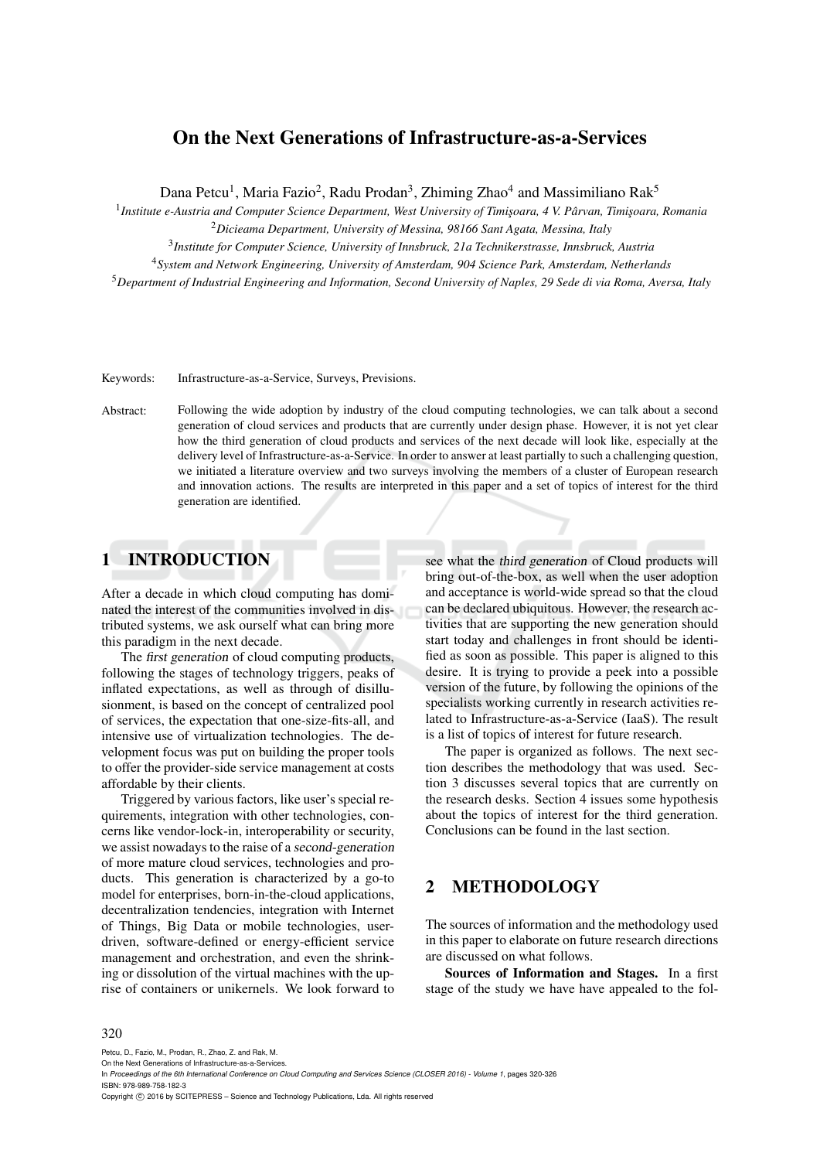# On the Next Generations of Infrastructure-as-a-Services

Dana Petcu<sup>1</sup>, Maria Fazio<sup>2</sup>, Radu Prodan<sup>3</sup>, Zhiming Zhao<sup>4</sup> and Massimiliano Rak<sup>5</sup>

1 *Institute e-Austria and Computer Science Department, West University of Timis¸oara, 4 V. Parvan, Timis¸oara, Romania ˆ*

<sup>2</sup>*Dicieama Department, University of Messina, 98166 Sant Agata, Messina, Italy*

3 *Institute for Computer Science, University of Innsbruck, 21a Technikerstrasse, Innsbruck, Austria*

<sup>4</sup>*System and Network Engineering, University of Amsterdam, 904 Science Park, Amsterdam, Netherlands*

<sup>5</sup>*Department of Industrial Engineering and Information, Second University of Naples, 29 Sede di via Roma, Aversa, Italy*

Keywords: Infrastructure-as-a-Service, Surveys, Previsions.

Abstract: Following the wide adoption by industry of the cloud computing technologies, we can talk about a second generation of cloud services and products that are currently under design phase. However, it is not yet clear how the third generation of cloud products and services of the next decade will look like, especially at the delivery level of Infrastructure-as-a-Service. In order to answer at least partially to such a challenging question, we initiated a literature overview and two surveys involving the members of a cluster of European research and innovation actions. The results are interpreted in this paper and a set of topics of interest for the third generation are identified.

#### 1 INTRODUCTION

After a decade in which cloud computing has dominated the interest of the communities involved in distributed systems, we ask ourself what can bring more this paradigm in the next decade.

The *first generation* of cloud computing products, following the stages of technology triggers, peaks of inflated expectations, as well as through of disillusionment, is based on the concept of centralized pool of services, the expectation that one-size-fits-all, and intensive use of virtualization technologies. The development focus was put on building the proper tools to offer the provider-side service management at costs affordable by their clients.

Triggered by various factors, like user's special requirements, integration with other technologies, concerns like vendor-lock-in, interoperability or security, we assist nowadays to the raise of a second-generation of more mature cloud services, technologies and products. This generation is characterized by a go-to model for enterprises, born-in-the-cloud applications, decentralization tendencies, integration with Internet of Things, Big Data or mobile technologies, userdriven, software-defined or energy-efficient service management and orchestration, and even the shrinking or dissolution of the virtual machines with the uprise of containers or unikernels. We look forward to see what the third generation of Cloud products will bring out-of-the-box, as well when the user adoption and acceptance is world-wide spread so that the cloud can be declared ubiquitous. However, the research activities that are supporting the new generation should start today and challenges in front should be identified as soon as possible. This paper is aligned to this desire. It is trying to provide a peek into a possible version of the future, by following the opinions of the specialists working currently in research activities related to Infrastructure-as-a-Service (IaaS). The result is a list of topics of interest for future research.

The paper is organized as follows. The next section describes the methodology that was used. Section 3 discusses several topics that are currently on the research desks. Section 4 issues some hypothesis about the topics of interest for the third generation. Conclusions can be found in the last section.

### 2 METHODOLOGY

The sources of information and the methodology used in this paper to elaborate on future research directions are discussed on what follows.

Sources of Information and Stages. In a first stage of the study we have have appealed to the fol-

#### 320

Petcu, D., Fazio, M., Prodan, R., Zhao, Z. and Rak, M.

On the Next Generations of Infrastructure-as-a-Services.

In *Proceedings of the 6th International Conference on Cloud Computing and Services Science (CLOSER 2016) - Volume 1*, pages 320-326 ISBN: 978-989-758-182-3

Copyright (C) 2016 by SCITEPRESS - Science and Technology Publications, Lda. All rights reserved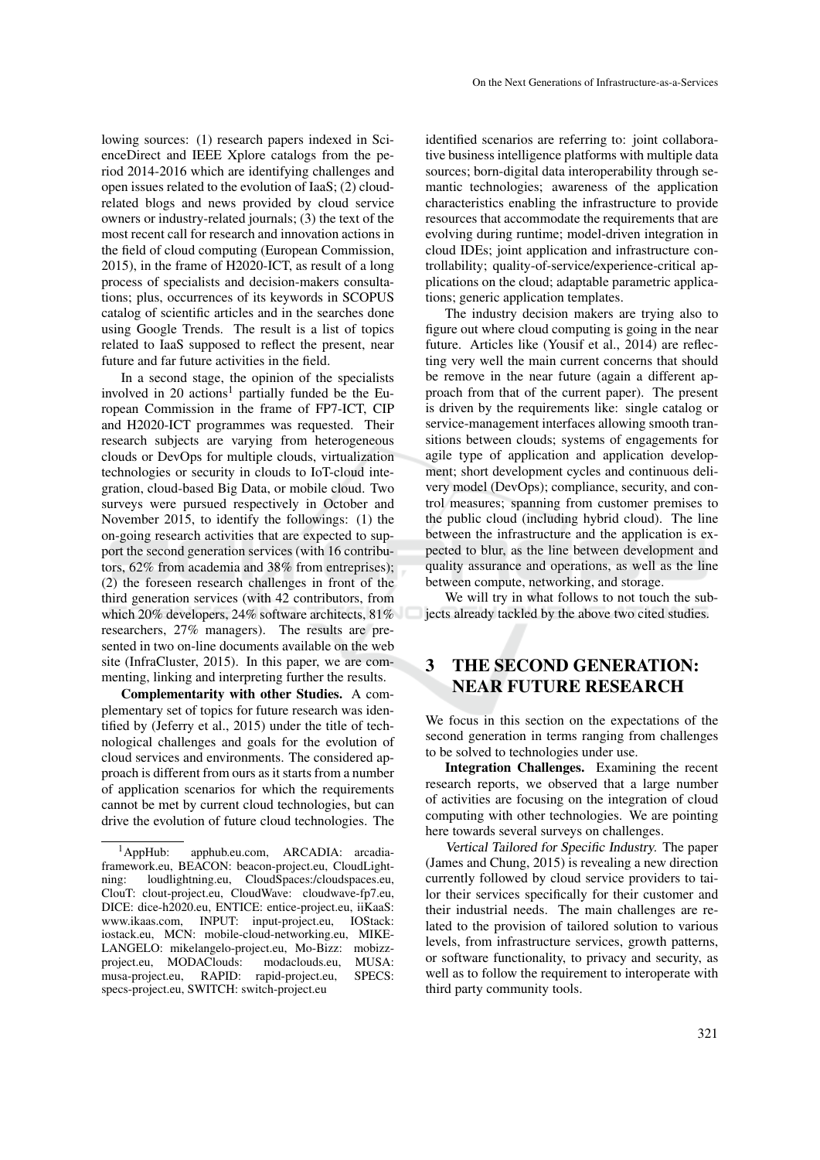lowing sources: (1) research papers indexed in ScienceDirect and IEEE Xplore catalogs from the period 2014-2016 which are identifying challenges and open issues related to the evolution of IaaS; (2) cloudrelated blogs and news provided by cloud service owners or industry-related journals; (3) the text of the most recent call for research and innovation actions in the field of cloud computing (European Commission, 2015), in the frame of H2020-ICT, as result of a long process of specialists and decision-makers consultations; plus, occurrences of its keywords in SCOPUS catalog of scientific articles and in the searches done using Google Trends. The result is a list of topics related to IaaS supposed to reflect the present, near future and far future activities in the field.

In a second stage, the opinion of the specialists involved in 20 actions<sup>1</sup> partially funded be the European Commission in the frame of FP7-ICT, CIP and H2020-ICT programmes was requested. Their research subjects are varying from heterogeneous clouds or DevOps for multiple clouds, virtualization technologies or security in clouds to IoT-cloud integration, cloud-based Big Data, or mobile cloud. Two surveys were pursued respectively in October and November 2015, to identify the followings: (1) the on-going research activities that are expected to support the second generation services (with 16 contributors, 62% from academia and 38% from entreprises); (2) the foreseen research challenges in front of the third generation services (with 42 contributors, from which 20% developers, 24% software architects, 81% researchers, 27% managers). The results are presented in two on-line documents available on the web site (InfraCluster, 2015). In this paper, we are commenting, linking and interpreting further the results.

Complementarity with other Studies. A complementary set of topics for future research was identified by (Jeferry et al., 2015) under the title of technological challenges and goals for the evolution of cloud services and environments. The considered approach is different from ours as it starts from a number of application scenarios for which the requirements cannot be met by current cloud technologies, but can drive the evolution of future cloud technologies. The identified scenarios are referring to: joint collaborative business intelligence platforms with multiple data sources; born-digital data interoperability through semantic technologies; awareness of the application characteristics enabling the infrastructure to provide resources that accommodate the requirements that are evolving during runtime; model-driven integration in cloud IDEs; joint application and infrastructure controllability; quality-of-service/experience-critical applications on the cloud; adaptable parametric applications; generic application templates.

The industry decision makers are trying also to figure out where cloud computing is going in the near future. Articles like (Yousif et al., 2014) are reflecting very well the main current concerns that should be remove in the near future (again a different approach from that of the current paper). The present is driven by the requirements like: single catalog or service-management interfaces allowing smooth transitions between clouds; systems of engagements for agile type of application and application development; short development cycles and continuous delivery model (DevOps); compliance, security, and control measures; spanning from customer premises to the public cloud (including hybrid cloud). The line between the infrastructure and the application is expected to blur, as the line between development and quality assurance and operations, as well as the line between compute, networking, and storage.

We will try in what follows to not touch the subjects already tackled by the above two cited studies.

## 3 THE SECOND GENERATION: NEAR FUTURE RESEARCH

We focus in this section on the expectations of the second generation in terms ranging from challenges to be solved to technologies under use.

Integration Challenges. Examining the recent research reports, we observed that a large number of activities are focusing on the integration of cloud computing with other technologies. We are pointing here towards several surveys on challenges.

Vertical Tailored for Specific Industry. The paper (James and Chung, 2015) is revealing a new direction currently followed by cloud service providers to tailor their services specifically for their customer and their industrial needs. The main challenges are related to the provision of tailored solution to various levels, from infrastructure services, growth patterns, or software functionality, to privacy and security, as well as to follow the requirement to interoperate with third party community tools.

<sup>1</sup>AppHub: apphub.eu.com, ARCADIA: arcadiaframework.eu, BEACON: beacon-project.eu, CloudLightning: loudlightning.eu, CloudSpaces:/cloudspaces.eu, ClouT: clout-project.eu, CloudWave: cloudwave-fp7.eu, DICE: dice-h2020.eu, ENTICE: entice-project.eu, iiKaaS: www.ikaas.com, INPUT: input-project.eu, IOStack: iostack.eu, MCN: mobile-cloud-networking.eu, MIKE-LANGELO: mikelangelo-project.eu, Mo-Bizz: mobizzproject.eu, MODAClouds: modaclouds.eu, MUSA: musa-project.eu, RAPID: rapid-project.eu, SPECS: specs-project.eu, SWITCH: switch-project.eu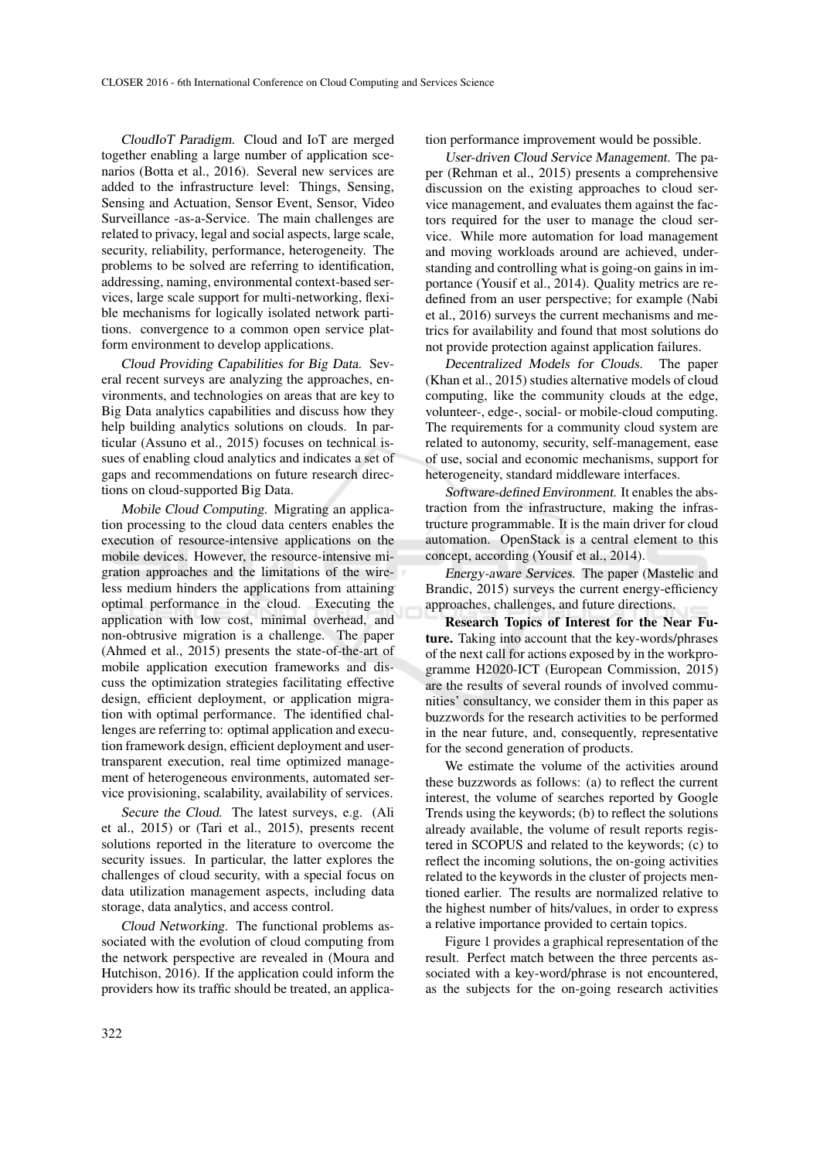CloudIoT Paradigm. Cloud and IoT are merged together enabling a large number of application scenarios (Botta et al., 2016). Several new services are added to the infrastructure level: Things, Sensing, Sensing and Actuation, Sensor Event, Sensor, Video Surveillance -as-a-Service. The main challenges are related to privacy, legal and social aspects, large scale, security, reliability, performance, heterogeneity. The problems to be solved are referring to identification, addressing, naming, environmental context-based services, large scale support for multi-networking, flexible mechanisms for logically isolated network partitions. convergence to a common open service platform environment to develop applications.

Cloud Providing Capabilities for Big Data. Several recent surveys are analyzing the approaches, environments, and technologies on areas that are key to Big Data analytics capabilities and discuss how they help building analytics solutions on clouds. In particular (Assuno et al., 2015) focuses on technical issues of enabling cloud analytics and indicates a set of gaps and recommendations on future research directions on cloud-supported Big Data.

Mobile Cloud Computing. Migrating an application processing to the cloud data centers enables the execution of resource-intensive applications on the mobile devices. However, the resource-intensive migration approaches and the limitations of the wireless medium hinders the applications from attaining optimal performance in the cloud. Executing the application with low cost, minimal overhead, and non-obtrusive migration is a challenge. The paper (Ahmed et al., 2015) presents the state-of-the-art of mobile application execution frameworks and discuss the optimization strategies facilitating effective design, efficient deployment, or application migration with optimal performance. The identified challenges are referring to: optimal application and execution framework design, efficient deployment and usertransparent execution, real time optimized management of heterogeneous environments, automated service provisioning, scalability, availability of services.

Secure the Cloud. The latest surveys, e.g. (Ali et al., 2015) or (Tari et al., 2015), presents recent solutions reported in the literature to overcome the security issues. In particular, the latter explores the challenges of cloud security, with a special focus on data utilization management aspects, including data storage, data analytics, and access control.

Cloud Networking. The functional problems associated with the evolution of cloud computing from the network perspective are revealed in (Moura and Hutchison, 2016). If the application could inform the providers how its traffic should be treated, an application performance improvement would be possible.

User-driven Cloud Service Management. The paper (Rehman et al., 2015) presents a comprehensive discussion on the existing approaches to cloud service management, and evaluates them against the factors required for the user to manage the cloud service. While more automation for load management and moving workloads around are achieved, understanding and controlling what is going-on gains in importance (Yousif et al., 2014). Quality metrics are redefined from an user perspective; for example (Nabi et al., 2016) surveys the current mechanisms and metrics for availability and found that most solutions do not provide protection against application failures.

Decentralized Models for Clouds. The paper (Khan et al., 2015) studies alternative models of cloud computing, like the community clouds at the edge, volunteer-, edge-, social- or mobile-cloud computing. The requirements for a community cloud system are related to autonomy, security, self-management, ease of use, social and economic mechanisms, support for heterogeneity, standard middleware interfaces.

Software-defined Environment. It enables the abstraction from the infrastructure, making the infrastructure programmable. It is the main driver for cloud automation. OpenStack is a central element to this concept, according (Yousif et al., 2014).

Energy-aware Services. The paper (Mastelic and Brandic, 2015) surveys the current energy-efficiency approaches, challenges, and future directions.

Research Topics of Interest for the Near Future. Taking into account that the key-words/phrases of the next call for actions exposed by in the workprogramme H2020-ICT (European Commission, 2015) are the results of several rounds of involved communities' consultancy, we consider them in this paper as buzzwords for the research activities to be performed in the near future, and, consequently, representative for the second generation of products.

We estimate the volume of the activities around these buzzwords as follows: (a) to reflect the current interest, the volume of searches reported by Google Trends using the keywords; (b) to reflect the solutions already available, the volume of result reports registered in SCOPUS and related to the keywords; (c) to reflect the incoming solutions, the on-going activities related to the keywords in the cluster of projects mentioned earlier. The results are normalized relative to the highest number of hits/values, in order to express a relative importance provided to certain topics.

Figure 1 provides a graphical representation of the result. Perfect match between the three percents associated with a key-word/phrase is not encountered, as the subjects for the on-going research activities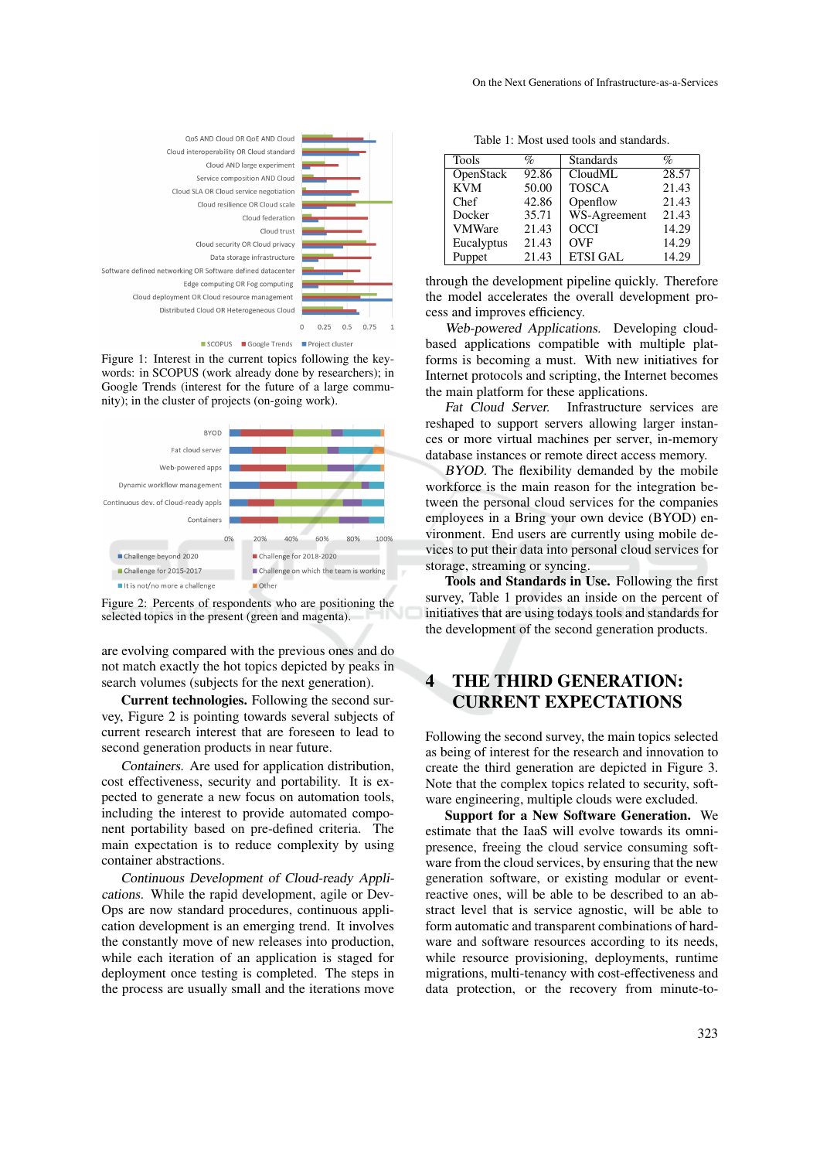

Figure 1: Interest in the current topics following the keywords: in SCOPUS (work already done by researchers); in Google Trends (interest for the future of a large commu-





Other

■ Challenge on which the team is working

Challenge for 2015-2017

It is not/no more a challenge

are evolving compared with the previous ones and do not match exactly the hot topics depicted by peaks in search volumes (subjects for the next generation).

Current technologies. Following the second survey, Figure 2 is pointing towards several subjects of current research interest that are foreseen to lead to second generation products in near future.

Containers. Are used for application distribution, cost effectiveness, security and portability. It is expected to generate a new focus on automation tools, including the interest to provide automated component portability based on pre-defined criteria. The main expectation is to reduce complexity by using container abstractions.

Continuous Development of Cloud-ready Applications. While the rapid development, agile or Dev-Ops are now standard procedures, continuous application development is an emerging trend. It involves the constantly move of new releases into production, while each iteration of an application is staged for deployment once testing is completed. The steps in the process are usually small and the iterations move

Table 1: Most used tools and standards.

| <b>Tools</b>  | $\%$  | <b>Standards</b> | $\%$  |
|---------------|-------|------------------|-------|
| OpenStack     | 92.86 | CloudML          | 28.57 |
| <b>KVM</b>    | 50.00 | <b>TOSCA</b>     | 21.43 |
| Chef          | 42.86 | Openflow         | 21.43 |
| Docker        | 35.71 | WS-Agreement     | 21.43 |
| <b>VMWare</b> | 21.43 | <b>OCCI</b>      | 14.29 |
| Eucalyptus    | 21.43 | <b>OVF</b>       | 14.29 |
| Puppet        | 21.43 | <b>ETSI GAL</b>  | 14.29 |

through the development pipeline quickly. Therefore the model accelerates the overall development process and improves efficiency.

Web-powered Applications. Developing cloudbased applications compatible with multiple platforms is becoming a must. With new initiatives for Internet protocols and scripting, the Internet becomes the main platform for these applications.

Fat Cloud Server. Infrastructure services are reshaped to support servers allowing larger instances or more virtual machines per server, in-memory database instances or remote direct access memory.

BYOD. The flexibility demanded by the mobile workforce is the main reason for the integration between the personal cloud services for the companies employees in a Bring your own device (BYOD) environment. End users are currently using mobile devices to put their data into personal cloud services for storage, streaming or syncing.

Tools and Standards in Use. Following the first survey, Table 1 provides an inside on the percent of initiatives that are using todays tools and standards for the development of the second generation products.

## 4 THE THIRD GENERATION: CURRENT EXPECTATIONS

Following the second survey, the main topics selected as being of interest for the research and innovation to create the third generation are depicted in Figure 3. Note that the complex topics related to security, software engineering, multiple clouds were excluded.

Support for a New Software Generation. We estimate that the IaaS will evolve towards its omnipresence, freeing the cloud service consuming software from the cloud services, by ensuring that the new generation software, or existing modular or eventreactive ones, will be able to be described to an abstract level that is service agnostic, will be able to form automatic and transparent combinations of hardware and software resources according to its needs, while resource provisioning, deployments, runtime migrations, multi-tenancy with cost-effectiveness and data protection, or the recovery from minute-to-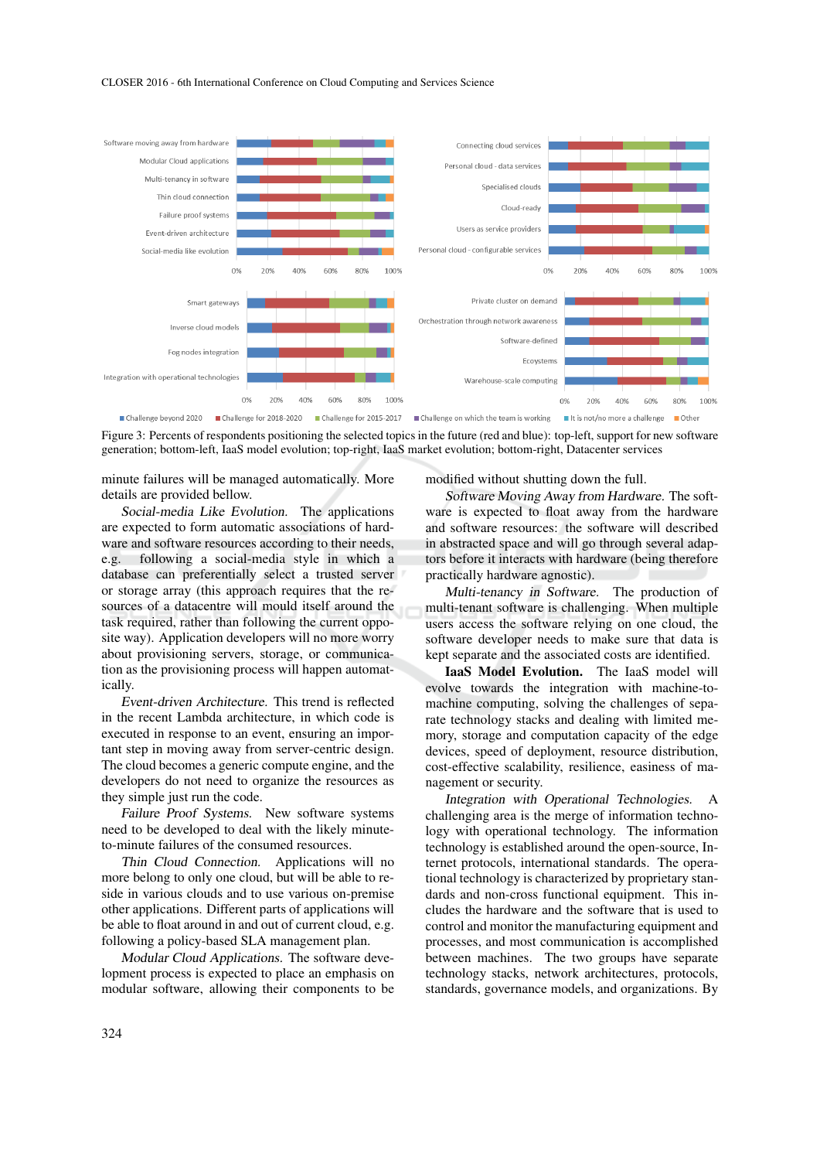#### CLOSER 2016 - 6th International Conference on Cloud Computing and Services Science



Figure 3: Percents of respondents positioning the selected topics in the future (red and blue): top-left, support for new software generation; bottom-left, IaaS model evolution; top-right, IaaS market evolution; bottom-right, Datacenter services

minute failures will be managed automatically. More details are provided bellow.

Social-media Like Evolution. The applications are expected to form automatic associations of hardware and software resources according to their needs, e.g. following a social-media style in which a database can preferentially select a trusted server or storage array (this approach requires that the resources of a datacentre will mould itself around the task required, rather than following the current opposite way). Application developers will no more worry about provisioning servers, storage, or communication as the provisioning process will happen automatically.

Event-driven Architecture. This trend is reflected in the recent Lambda architecture, in which code is executed in response to an event, ensuring an important step in moving away from server-centric design. The cloud becomes a generic compute engine, and the developers do not need to organize the resources as they simple just run the code.

Failure Proof Systems. New software systems need to be developed to deal with the likely minuteto-minute failures of the consumed resources.

Thin Cloud Connection. Applications will no more belong to only one cloud, but will be able to reside in various clouds and to use various on-premise other applications. Different parts of applications will be able to float around in and out of current cloud, e.g. following a policy-based SLA management plan.

Modular Cloud Applications. The software development process is expected to place an emphasis on modular software, allowing their components to be modified without shutting down the full.

Software Moving Away from Hardware. The software is expected to float away from the hardware and software resources: the software will described in abstracted space and will go through several adaptors before it interacts with hardware (being therefore practically hardware agnostic).

Multi-tenancy in Software. The production of multi-tenant software is challenging. When multiple users access the software relying on one cloud, the software developer needs to make sure that data is kept separate and the associated costs are identified.

IaaS Model Evolution. The IaaS model will evolve towards the integration with machine-tomachine computing, solving the challenges of separate technology stacks and dealing with limited memory, storage and computation capacity of the edge devices, speed of deployment, resource distribution, cost-effective scalability, resilience, easiness of management or security.

Integration with Operational Technologies. A challenging area is the merge of information technology with operational technology. The information technology is established around the open-source, Internet protocols, international standards. The operational technology is characterized by proprietary standards and non-cross functional equipment. This includes the hardware and the software that is used to control and monitor the manufacturing equipment and processes, and most communication is accomplished between machines. The two groups have separate technology stacks, network architectures, protocols, standards, governance models, and organizations. By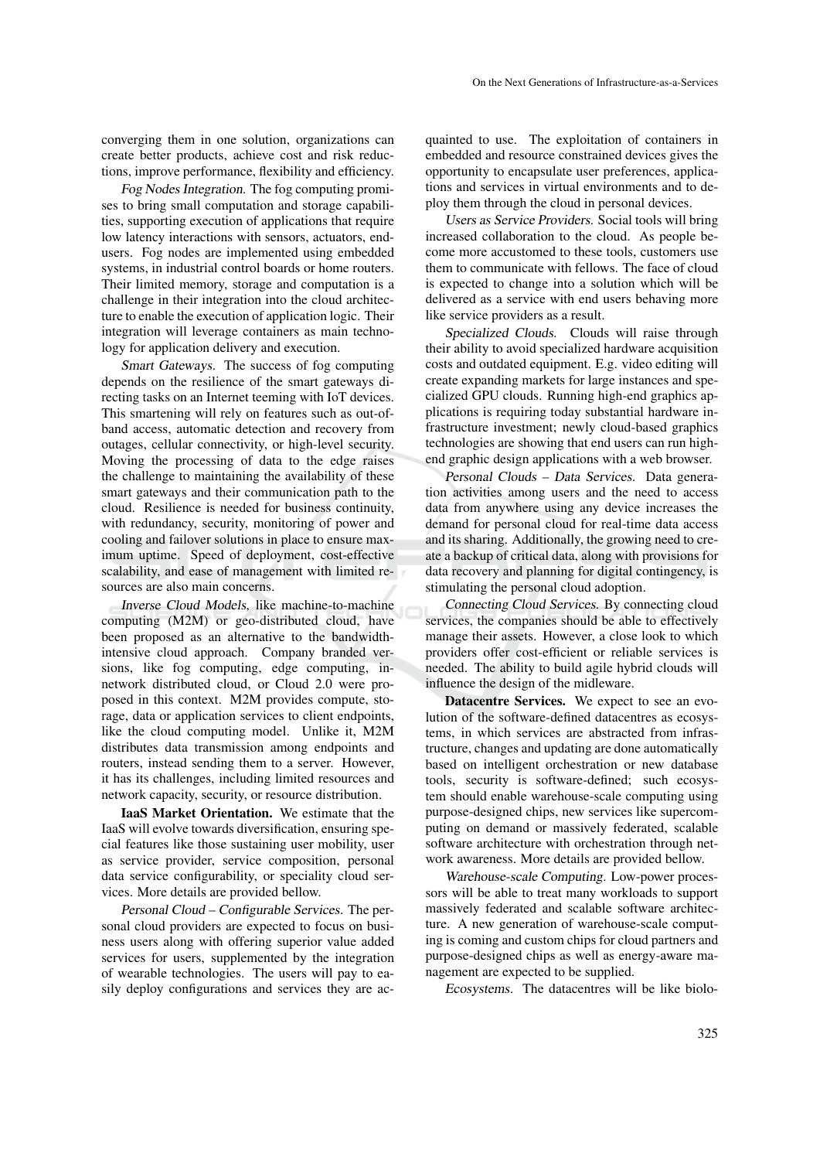converging them in one solution, organizations can create better products, achieve cost and risk reductions, improve performance, flexibility and efficiency.

Fog Nodes Integration. The fog computing promises to bring small computation and storage capabilities, supporting execution of applications that require low latency interactions with sensors, actuators, endusers. Fog nodes are implemented using embedded systems, in industrial control boards or home routers. Their limited memory, storage and computation is a challenge in their integration into the cloud architecture to enable the execution of application logic. Their integration will leverage containers as main technology for application delivery and execution.

Smart Gateways. The success of fog computing depends on the resilience of the smart gateways directing tasks on an Internet teeming with IoT devices. This smartening will rely on features such as out-ofband access, automatic detection and recovery from outages, cellular connectivity, or high-level security. Moving the processing of data to the edge raises the challenge to maintaining the availability of these smart gateways and their communication path to the cloud. Resilience is needed for business continuity, with redundancy, security, monitoring of power and cooling and failover solutions in place to ensure maximum uptime. Speed of deployment, cost-effective scalability, and ease of management with limited resources are also main concerns.

Inverse Cloud Models, like machine-to-machine computing (M2M) or geo-distributed cloud, have been proposed as an alternative to the bandwidthintensive cloud approach. Company branded versions, like fog computing, edge computing, innetwork distributed cloud, or Cloud 2.0 were proposed in this context. M2M provides compute, storage, data or application services to client endpoints, like the cloud computing model. Unlike it, M2M distributes data transmission among endpoints and routers, instead sending them to a server. However, it has its challenges, including limited resources and network capacity, security, or resource distribution.

IaaS Market Orientation. We estimate that the IaaS will evolve towards diversification, ensuring special features like those sustaining user mobility, user as service provider, service composition, personal data service configurability, or speciality cloud services. More details are provided bellow.

Personal Cloud – Configurable Services. The personal cloud providers are expected to focus on business users along with offering superior value added services for users, supplemented by the integration of wearable technologies. The users will pay to easily deploy configurations and services they are acquainted to use. The exploitation of containers in embedded and resource constrained devices gives the opportunity to encapsulate user preferences, applications and services in virtual environments and to deploy them through the cloud in personal devices.

Users as Service Providers. Social tools will bring increased collaboration to the cloud. As people become more accustomed to these tools, customers use them to communicate with fellows. The face of cloud is expected to change into a solution which will be delivered as a service with end users behaving more like service providers as a result.

Specialized Clouds. Clouds will raise through their ability to avoid specialized hardware acquisition costs and outdated equipment. E.g. video editing will create expanding markets for large instances and specialized GPU clouds. Running high-end graphics applications is requiring today substantial hardware infrastructure investment; newly cloud-based graphics technologies are showing that end users can run highend graphic design applications with a web browser.

Personal Clouds – Data Services. Data generation activities among users and the need to access data from anywhere using any device increases the demand for personal cloud for real-time data access and its sharing. Additionally, the growing need to create a backup of critical data, along with provisions for data recovery and planning for digital contingency, is stimulating the personal cloud adoption.

Connecting Cloud Services. By connecting cloud services, the companies should be able to effectively manage their assets. However, a close look to which providers offer cost-efficient or reliable services is needed. The ability to build agile hybrid clouds will influence the design of the midleware.

Datacentre Services. We expect to see an evolution of the software-defined datacentres as ecosystems, in which services are abstracted from infrastructure, changes and updating are done automatically based on intelligent orchestration or new database tools, security is software-defined; such ecosystem should enable warehouse-scale computing using purpose-designed chips, new services like supercomputing on demand or massively federated, scalable software architecture with orchestration through network awareness. More details are provided bellow.

Warehouse-scale Computing. Low-power processors will be able to treat many workloads to support massively federated and scalable software architecture. A new generation of warehouse-scale computing is coming and custom chips for cloud partners and purpose-designed chips as well as energy-aware management are expected to be supplied.

Ecosystems. The datacentres will be like biolo-